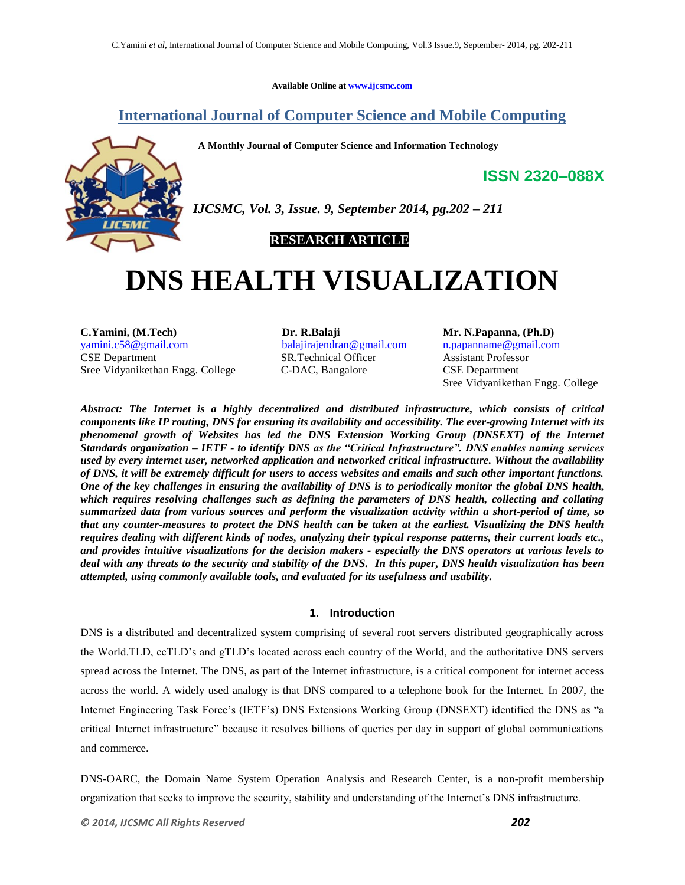**Available Online at www.ijcsmc.com**

# **International Journal of Computer Science and Mobile Computing**

 **A Monthly Journal of Computer Science and Information Technology**



*IJCSMC, Vol. 3, Issue. 9, September 2014, pg.202 – 211*

## **RESEARCH ARTICLE**

# **DNS HEALTH VISUALIZATION**

**C.Yamini, (M.Tech) Dr. R.Balaji Mr. N.Papanna, (Ph.D)** yamini.c58@gmail.com balajirajendran@gmail.com n.papanname@gmail.com CSE Department CSE Department Sree Vidyanikethan Engg. College C-DAC, Bangalore CSE Department

SR.Technical Officer Assistant Professor

Sree Vidyanikethan Engg. College

**ISSN 2320–088X**

*Abstract: The Internet is a highly decentralized and distributed infrastructure, which consists of critical components like IP routing, DNS for ensuring its availability and accessibility. The ever-growing Internet with its phenomenal growth of Websites has led the DNS Extension Working Group (DNSEXT) of the Internet Standards organization – IETF - to identify DNS as the "Critical Infrastructure". DNS enables naming services used by every internet user, networked application and networked critical infrastructure. Without the availability of DNS, it will be extremely difficult for users to access websites and emails and such other important functions. One of the key challenges in ensuring the availability of DNS is to periodically monitor the global DNS health, which requires resolving challenges such as defining the parameters of DNS health, collecting and collating summarized data from various sources and perform the visualization activity within a short-period of time, so that any counter-measures to protect the DNS health can be taken at the earliest. Visualizing the DNS health requires dealing with different kinds of nodes, analyzing their typical response patterns, their current loads etc., and provides intuitive visualizations for the decision makers - especially the DNS operators at various levels to deal with any threats to the security and stability of the DNS. In this paper, DNS health visualization has been attempted, using commonly available tools, and evaluated for its usefulness and usability.*

## **1. Introduction**

DNS is a distributed and decentralized system comprising of several root servers distributed geographically across the World.TLD, ccTLD"s and gTLD"s located across each country of the World, and the authoritative DNS servers spread across the Internet. The DNS, as part of the Internet infrastructure, is a critical component for internet access across the world. A widely used analogy is that DNS compared to a telephone book for the Internet. In 2007, the Internet Engineering Task Force"s (IETF"s) DNS Extensions Working Group (DNSEXT) identified the DNS as "a critical Internet infrastructure" because it resolves billions of queries per day in support of global communications and commerce.

DNS-OARC, the Domain Name System Operation Analysis and Research Center, is a non-profit membership organization that seeks to improve the security, stability and understanding of the Internet"s DNS infrastructure.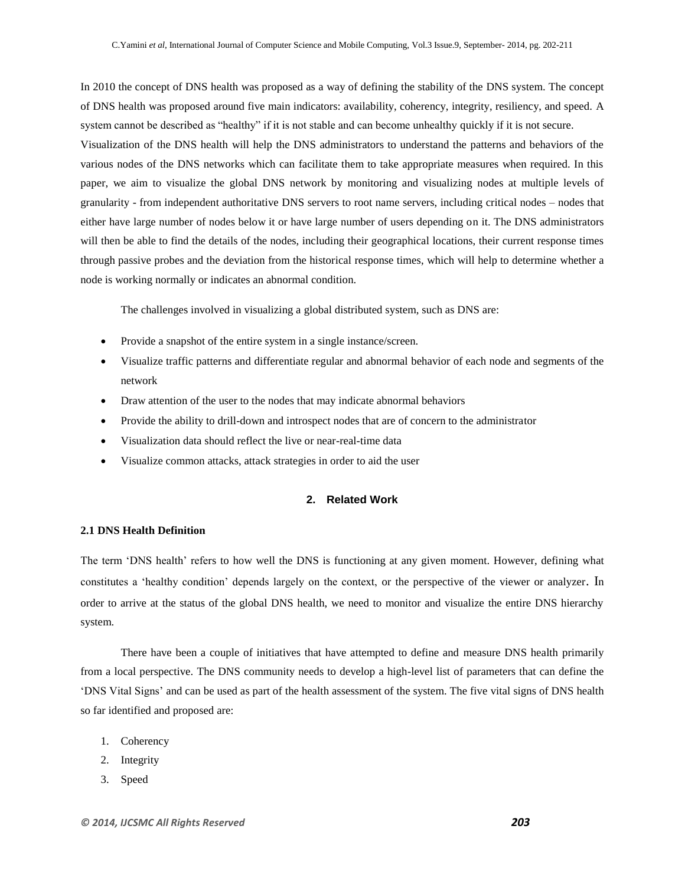In 2010 the concept of DNS health was proposed as a way of defining the stability of the DNS system. The concept of DNS health was proposed around five main indicators: availability, coherency, integrity, resiliency, and speed. A system cannot be described as "healthy" if it is not stable and can become unhealthy quickly if it is not secure. Visualization of the DNS health will help the DNS administrators to understand the patterns and behaviors of the various nodes of the DNS networks which can facilitate them to take appropriate measures when required. In this paper, we aim to visualize the global DNS network by monitoring and visualizing nodes at multiple levels of granularity - from independent authoritative DNS servers to root name servers, including critical nodes – nodes that either have large number of nodes below it or have large number of users depending on it. The DNS administrators will then be able to find the details of the nodes, including their geographical locations, their current response times through passive probes and the deviation from the historical response times, which will help to determine whether a node is working normally or indicates an abnormal condition.

The challenges involved in visualizing a global distributed system, such as DNS are:

- Provide a snapshot of the entire system in a single instance/screen.
- Visualize traffic patterns and differentiate regular and abnormal behavior of each node and segments of the network
- Draw attention of the user to the nodes that may indicate abnormal behaviors
- Provide the ability to drill-down and introspect nodes that are of concern to the administrator
- Visualization data should reflect the live or near-real-time data
- Visualize common attacks, attack strategies in order to aid the user

## **2. Related Work**

#### **2.1 DNS Health Definition**

The term "DNS health" refers to how well the DNS is functioning at any given moment. However, defining what constitutes a "healthy condition" depends largely on the context, or the perspective of the viewer or analyzer. In order to arrive at the status of the global DNS health, we need to monitor and visualize the entire DNS hierarchy system.

There have been a couple of initiatives that have attempted to define and measure DNS health primarily from a local perspective. The DNS community needs to develop a high-level list of parameters that can define the "DNS Vital Signs" and can be used as part of the health assessment of the system. The five vital signs of DNS health so far identified and proposed are:

- 1. Coherency
- 2. Integrity
- 3. Speed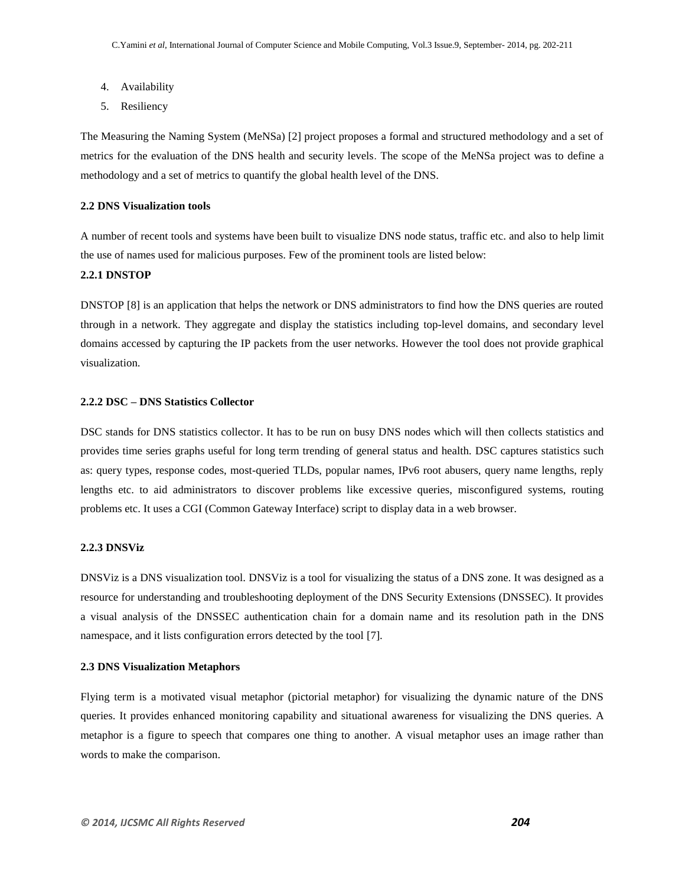- 4. Availability
- 5. Resiliency

The Measuring the Naming System (MeNSa) [2] project proposes a formal and structured methodology and a set of metrics for the evaluation of the DNS health and security levels. The scope of the MeNSa project was to define a methodology and a set of metrics to quantify the global health level of the DNS.

#### **2.2 DNS Visualization tools**

A number of recent tools and systems have been built to visualize DNS node status, traffic etc. and also to help limit the use of names used for malicious purposes. Few of the prominent tools are listed below:

## **2.2.1 DNSTOP**

DNSTOP [8] is an application that helps the network or DNS administrators to find how the DNS queries are routed through in a network. They aggregate and display the statistics including top-level domains, and secondary level domains accessed by capturing the IP packets from the user networks. However the tool does not provide graphical visualization.

#### **2.2.2 DSC – DNS Statistics Collector**

DSC stands for DNS statistics collector. It has to be run on busy DNS nodes which will then collects statistics and provides time series graphs useful for long term trending of general status and health. DSC captures statistics such as: query types, response codes, most-queried TLDs, popular names, IPv6 root abusers, query name lengths, reply lengths etc. to aid administrators to discover problems like excessive queries, misconfigured systems, routing problems etc. It uses a CGI (Common Gateway Interface) script to display data in a web browser.

#### **2.2.3 DNSViz**

DNSViz is a DNS visualization tool. DNSViz is a tool for visualizing the status of a DNS zone. It was designed as a resource for understanding and troubleshooting deployment of the DNS Security Extensions (DNSSEC). It provides a visual analysis of the DNSSEC authentication chain for a domain name and its resolution path in the DNS namespace, and it lists configuration errors detected by the tool [7].

#### **2.3 DNS Visualization Metaphors**

Flying term is a motivated visual metaphor (pictorial metaphor) for visualizing the dynamic nature of the DNS queries. It provides enhanced monitoring capability and situational awareness for visualizing the DNS queries. A metaphor is a figure to speech that compares one thing to another. A visual metaphor uses an image rather than words to make the comparison.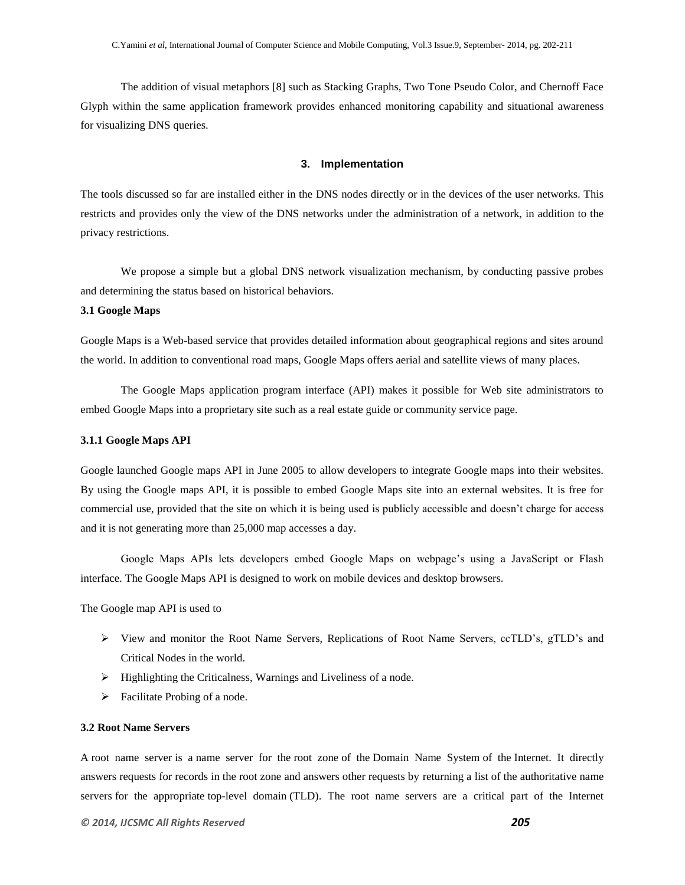The addition of visual metaphors [8] such as Stacking Graphs, Two Tone Pseudo Color, and Chernoff Face Glyph within the same application framework provides enhanced monitoring capability and situational awareness for visualizing DNS queries.

#### **3. Implementation**

The tools discussed so far are installed either in the DNS nodes directly or in the devices of the user networks. This restricts and provides only the view of the DNS networks under the administration of a network, in addition to the privacy restrictions.

We propose a simple but a global DNS network visualization mechanism, by conducting passive probes and determining the status based on historical behaviors.

#### **3.1 Google Maps**

Google Maps is a Web-based service that provides detailed information about geographical regions and sites around the world. In addition to conventional road maps, Google Maps offers aerial and satellite views of many places.

The Google Maps application program interface (API) makes it possible for Web site administrators to embed Google Maps into a proprietary site such as a real estate guide or community service page.

#### **3.1.1 Google Maps API**

Google launched Google maps API in June 2005 to allow developers to integrate Google maps into their websites. By using the Google maps API, it is possible to embed Google Maps site into an external websites. It is free for commercial use, provided that the site on which it is being used is publicly accessible and doesn"t charge for access and it is not generating more than 25,000 map accesses a day.

Google Maps APIs lets developers embed Google Maps on webpage"s using a JavaScript or Flash interface. The Google Maps API is designed to work on mobile devices and desktop browsers.

The Google map API is used to

- View and monitor the Root Name Servers, Replications of Root Name Servers, ccTLD"s, gTLD"s and Critical Nodes in the world.
- $\triangleright$  Highlighting the Criticalness, Warnings and Liveliness of a node.
- $\triangleright$  Facilitate Probing of a node.

#### **3.2 Root Name Servers**

A root name server is a name server for the root zone of the Domain Name System of the Internet. It directly answers requests for records in the root zone and answers other requests by returning a list of the authoritative name servers for the appropriate top-level domain (TLD). The root name servers are a critical part of the Internet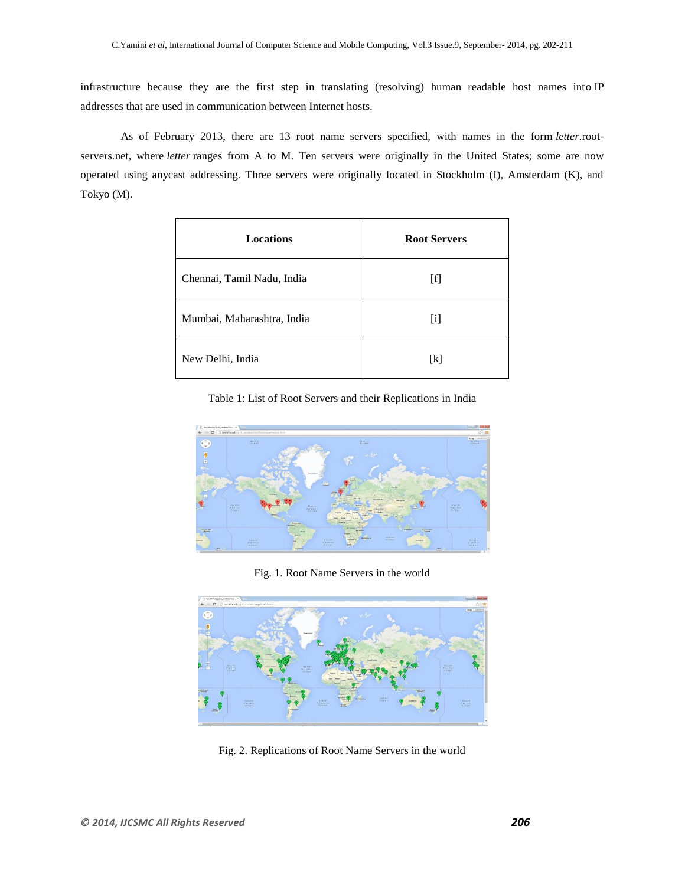infrastructure because they are the first step in translating (resolving) human readable host names into IP addresses that are used in communication between Internet hosts.

As of February 2013, there are 13 root name servers specified, with names in the form *letter*.rootservers.net, where *letter* ranges from A to M. Ten servers were originally in the United States; some are now operated using anycast addressing. Three servers were originally located in Stockholm (I), Amsterdam (K), and Tokyo (M).

| Locations                  | <b>Root Servers</b> |
|----------------------------|---------------------|
| Chennai, Tamil Nadu, India | [f]                 |
| Mumbai, Maharashtra, India | $[1]$               |
| New Delhi, India           | [k]                 |

Table 1: List of Root Servers and their Replications in India



Fig. 1. Root Name Servers in the world



Fig. 2. Replications of Root Name Servers in the world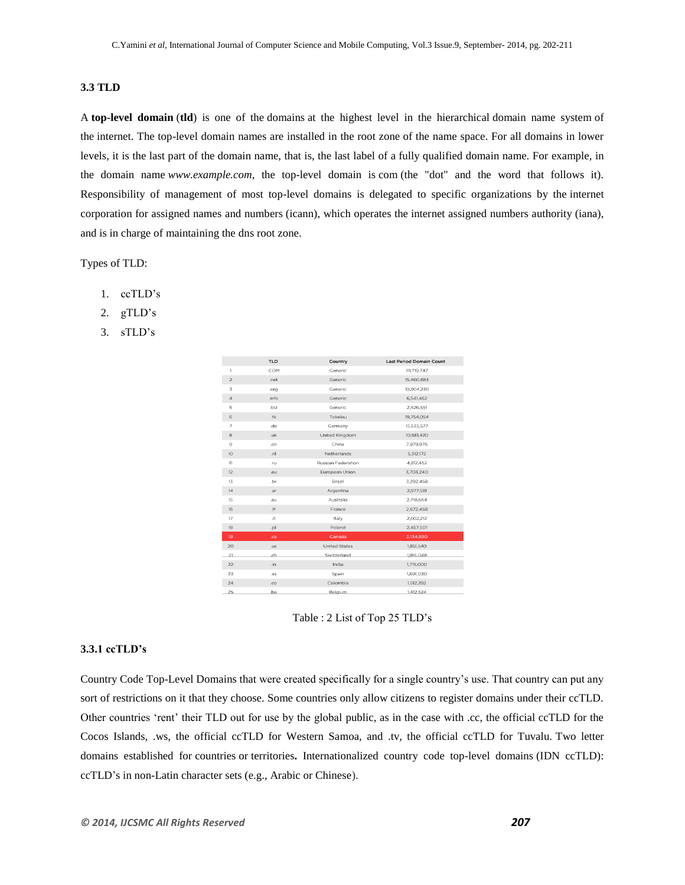## **3.3 TLD**

A **top-level domain** (**tld**) is one of the domains at the highest level in the hierarchical domain name system of the internet. The top-level domain names are installed in the root zone of the name space. For all domains in lower levels, it is the last part of the domain name, that is, the last label of a fully qualified domain name. For example, in the domain name *www.example.com*, the top-level domain is com (the "dot" and the word that follows it). Responsibility of management of most top-level domains is delegated to specific organizations by the internet corporation for assigned names and numbers (icann), which operates the internet assigned numbers authority (iana), and is in charge of maintaining the dns root zone.

Types of TLD:

- 1. ccTLD"s
- 2. gTLD's
- 3. sTLD"s

|                | <b>TLD</b>  | Country              | <b>Last Period Domain Count</b> |
|----------------|-------------|----------------------|---------------------------------|
| 1              | .COM        | Generic              | 111,719,747                     |
| $\sqrt{2}$     | .net        | Generic              | 15,460,883                      |
| 3              | .org        | Generic              | 10,304,230                      |
| $\overline{4}$ | .info       | Generic              | 6,541,462                       |
| 5              | .biz        | Generic              | 2,426,551                       |
| 6              | .tk         | Tokelau              | 19,754,054                      |
| 7              | .de         | Germany              | 15,535,577                      |
| 8              | .uk         | United Kingdom       | 10,581,420                      |
| 9              | .cn         | China                | 7,879,976                       |
| 10             | .nl         | Netherlands          | 5.312.172                       |
| 11             | .ru         | Russian Federation   | 4.812.452                       |
| 12             | .eu         | European Union       | 3,703,240                       |
| 13             | .br         | Brazil               | 3,292,458                       |
| 14             | .ar         | Argentina            | 2,977,581                       |
| 15             | <b>Ji6.</b> | Australia            | 2,718,664                       |
| 16             | .fr         | France               | 2,672,458                       |
| 17             | .it         | Italy                | 2,602,212                       |
| 18             | lq.         | Poland               | 2,457,501                       |
| 19             | .ca         | Canada               | 2,134,590                       |
| 20             | .us         | <b>United States</b> | 1,851,540                       |
| 21             | .ch         | Switzerland          | 1,816,048                       |
| 22             | .in         | India                | 1,715,000                       |
| 23             | .es         | Spain                | 1,691,030                       |
| 24             | .co         | Colombia             | 1,512,392                       |
| 25             | .be         | Belgium              | 1,412,524                       |

Table : 2 List of Top 25 TLD"s

#### **3.3.1 ccTLD's**

Country Code Top-Level Domains that were created specifically for a single country"s use. That country can put any sort of restrictions on it that they choose. Some countries only allow citizens to register domains under their ccTLD. Other countries "rent" their TLD out for use by the global public, as in the case with .cc, the official ccTLD for the Cocos Islands, .ws, the official ccTLD for Western Samoa, and .tv, the official ccTLD for Tuvalu. Two letter domains established for countries or territories**.** Internationalized country code top-level domains (IDN ccTLD): ccTLD"s in non-Latin character sets (e.g., Arabic or Chinese).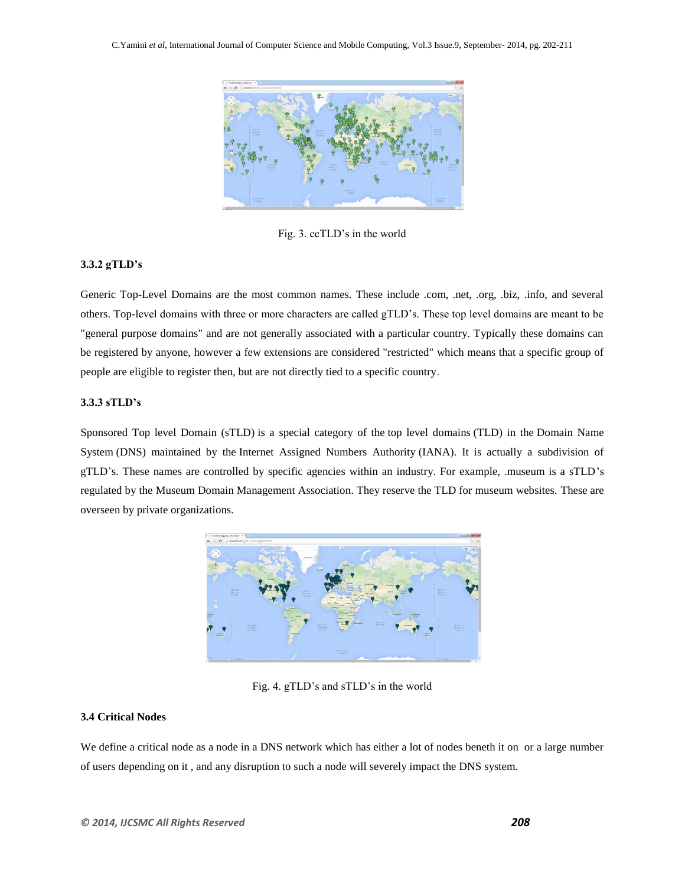

Fig. 3. ccTLD"s in the world

## **3.3.2 gTLD's**

Generic Top-Level Domains are the most common names. These include .com, .net, .org, .biz, .info, and several others. Top-level domains with three or more characters are called gTLD"s. These top level domains are meant to be "general purpose domains" and are not generally associated with a particular country. Typically these domains can be registered by anyone, however a few extensions are considered "restricted" which means that a specific group of people are eligible to register then, but are not directly tied to a specific country.

## **3.3.3 sTLD's**

Sponsored Top level Domain (sTLD) is a special category of the top level domains (TLD) in the Domain Name System (DNS) maintained by the Internet Assigned Numbers Authority (IANA). It is actually a subdivision of gTLD"s. These names are controlled by specific agencies within an industry. For example, .museum is a sTLD"s regulated by the Museum Domain Management Association. They reserve the TLD for museum websites. These are overseen by private organizations.



Fig. 4. gTLD's and sTLD's in the world

## **3.4 Critical Nodes**

We define a critical node as a node in a DNS network which has either a lot of nodes beneth it on or a large number of users depending on it , and any disruption to such a node will severely impact the DNS system.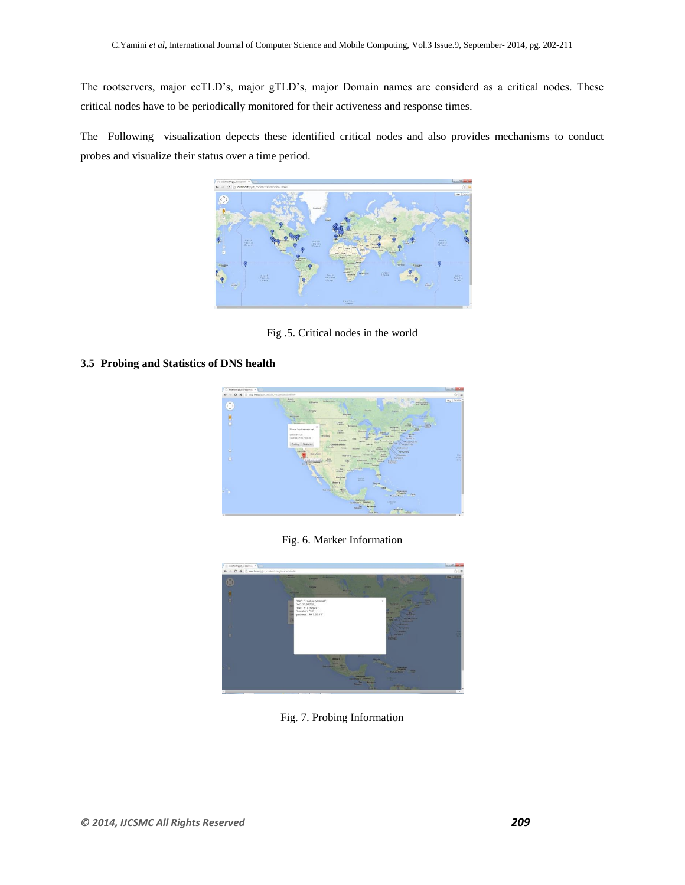The rootservers, major ccTLD"s, major gTLD"s, major Domain names are considerd as a critical nodes. These critical nodes have to be periodically monitored for their activeness and response times.

The Following visualization depects these identified critical nodes and also provides mechanisms to conduct probes and visualize their status over a time period.



Fig .5. Critical nodes in the world

## **3.5 Probing and Statistics of DNS health**



Fig. 6. Marker Information



Fig. 7. Probing Information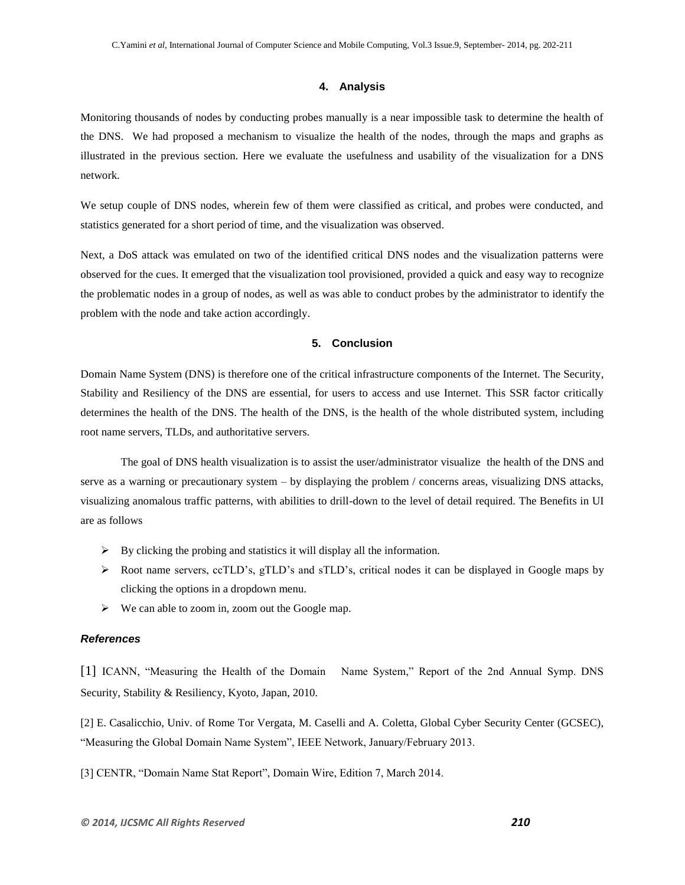## **4. Analysis**

Monitoring thousands of nodes by conducting probes manually is a near impossible task to determine the health of the DNS. We had proposed a mechanism to visualize the health of the nodes, through the maps and graphs as illustrated in the previous section. Here we evaluate the usefulness and usability of the visualization for a DNS network.

We setup couple of DNS nodes, wherein few of them were classified as critical, and probes were conducted, and statistics generated for a short period of time, and the visualization was observed.

Next, a DoS attack was emulated on two of the identified critical DNS nodes and the visualization patterns were observed for the cues. It emerged that the visualization tool provisioned, provided a quick and easy way to recognize the problematic nodes in a group of nodes, as well as was able to conduct probes by the administrator to identify the problem with the node and take action accordingly.

## **5. Conclusion**

Domain Name System (DNS) is therefore one of the critical infrastructure components of the Internet. The Security, Stability and Resiliency of the DNS are essential, for users to access and use Internet. This SSR factor critically determines the health of the DNS. The health of the DNS, is the health of the whole distributed system, including root name servers, TLDs, and authoritative servers.

The goal of DNS health visualization is to assist the user/administrator visualize the health of the DNS and serve as a warning or precautionary system – by displaying the problem / concerns areas, visualizing DNS attacks, visualizing anomalous traffic patterns, with abilities to drill-down to the level of detail required. The Benefits in UI are as follows

- $\triangleright$  By clicking the probing and statistics it will display all the information.
- $\triangleright$  Root name servers, ccTLD's, gTLD's and sTLD's, critical nodes it can be displayed in Google maps by clicking the options in a dropdown menu.
- $\triangleright$  We can able to zoom in, zoom out the Google map.

#### *References*

[1] ICANN, "Measuring the Health of the Domain Name System," Report of the 2nd Annual Symp. DNS Security, Stability & Resiliency, Kyoto, Japan, 2010.

[2] E. Casalicchio, Univ. of Rome Tor Vergata, M. Caselli and A. Coletta, Global Cyber Security Center (GCSEC), "Measuring the Global Domain Name System", IEEE Network, January/February 2013.

[3] CENTR, "Domain Name Stat Report", Domain Wire, Edition 7, March 2014.